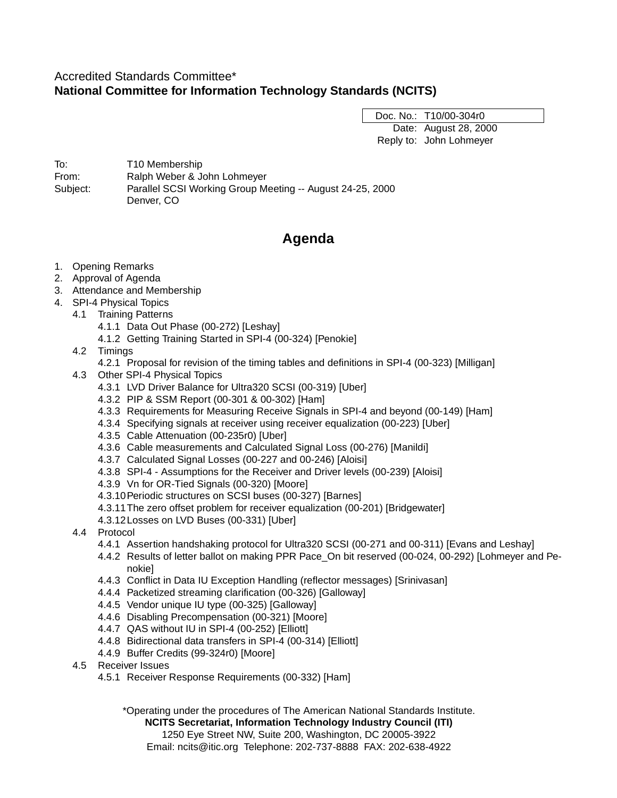# Accredited Standards Committee\* **National Committee for Information Technology Standards (NCITS)**

Doc. No.: T10/00-304r0 Date: August 28, 2000 Reply to: John Lohmeyer

To: T10 Membership From: Ralph Weber & John Lohmeyer Subject: Parallel SCSI Working Group Meeting -- August 24-25, 2000 Denver, CO

# **Agenda**

- 1. Opening Remarks
- 2. Approval of Agenda
- 3. Attendance and Membership
- 4. SPI-4 Physical Topics
- 4.1 Training Patterns
	- 4.1.1 Data Out Phase (00-272) [Leshay]
	- 4.1.2 Getting Training Started in SPI-4 (00-324) [Penokie]
	- 4.2 Timings
		- 4.2.1 Proposal for revision of the timing tables and definitions in SPI-4 (00-323) [Milligan]
	- 4.3 Other SPI-4 Physical Topics
		- 4.3.1 LVD Driver Balance for Ultra320 SCSI (00-319) [Uber]
		- 4.3.2 PIP & SSM Report (00-301 & 00-302) [Ham]
		- 4.3.3 Requirements for Measuring Receive Signals in SPI-4 and beyond (00-149) [Ham]
		- 4.3.4 Specifying signals at receiver using receiver equalization (00-223) [Uber]
		- 4.3.5 Cable Attenuation (00-235r0) [Uber]
		- 4.3.6 Cable measurements and Calculated Signal Loss (00-276) [Manildi]
		- 4.3.7 Calculated Signal Losses (00-227 and 00-246) [Aloisi]
		- 4.3.8 SPI-4 Assumptions for the Receiver and Driver levels (00-239) [Aloisi]
		- 4.3.9 Vn for OR-Tied Signals (00-320) [Moore]
		- 4.3.10Periodic structures on SCSI buses (00-327) [Barnes]
		- 4.3.11The zero offset problem for receiver equalization (00-201) [Bridgewater]
		- 4.3.12Losses on LVD Buses (00-331) [Uber]
	- 4.4 Protocol
		- 4.4.1 Assertion handshaking protocol for Ultra320 SCSI (00-271 and 00-311) [Evans and Leshay]
		- 4.4.2 Results of letter ballot on making PPR Pace\_On bit reserved (00-024, 00-292) [Lohmeyer and Penokie]
		- 4.4.3 Conflict in Data IU Exception Handling (reflector messages) [Srinivasan]
		- 4.4.4 Packetized streaming clarification (00-326) [Galloway]
		- 4.4.5 Vendor unique IU type (00-325) [Galloway]
		- 4.4.6 Disabling Precompensation (00-321) [Moore]
		- 4.4.7 QAS without IU in SPI-4 (00-252) [Elliott]
		- 4.4.8 Bidirectional data transfers in SPI-4 (00-314) [Elliott]
		- 4.4.9 Buffer Credits (99-324r0) [Moore]
	- 4.5 Receiver Issues
		- 4.5.1 Receiver Response Requirements (00-332) [Ham]

\*Operating under the procedures of The American National Standards Institute.

**NCITS Secretariat, Information Technology Industry Council (ITI)** 1250 Eye Street NW, Suite 200, Washington, DC 20005-3922 Email: ncits@itic.org Telephone: 202-737-8888 FAX: 202-638-4922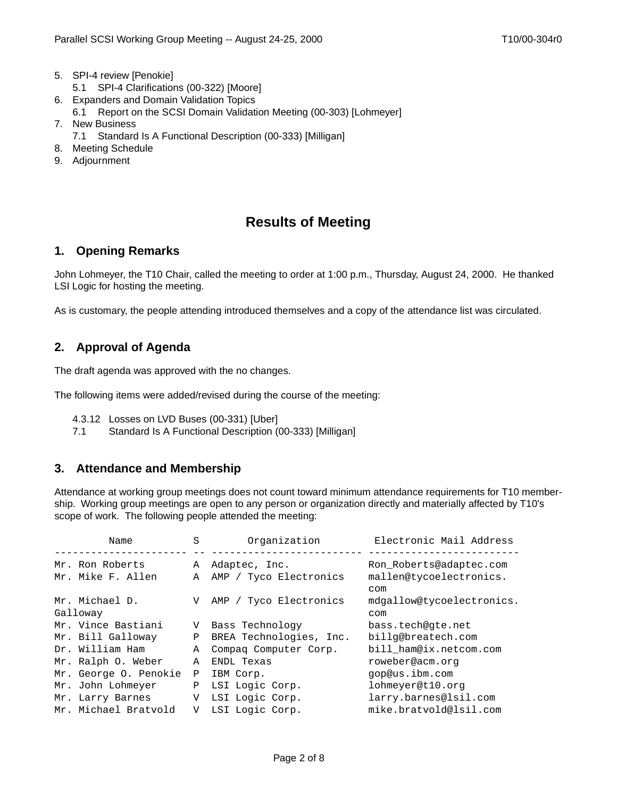- 5. SPI-4 review [Penokie]
	- 5.1 SPI-4 Clarifications (00-322) [Moore]
- 6. Expanders and Domain Validation Topics
- 6.1 Report on the SCSI Domain Validation Meeting (00-303) [Lohmeyer]
- 7. New Business
	- 7.1 Standard Is A Functional Description (00-333) [Milligan]
- 8. Meeting Schedule
- 9. Adjournment

# **Results of Meeting**

## **1. Opening Remarks**

John Lohmeyer, the T10 Chair, called the meeting to order at 1:00 p.m., Thursday, August 24, 2000. He thanked LSI Logic for hosting the meeting.

As is customary, the people attending introduced themselves and a copy of the attendance list was circulated.

# **2. Approval of Agenda**

The draft agenda was approved with the no changes.

The following items were added/revised during the course of the meeting:

- 4.3.12 Losses on LVD Buses (00-331) [Uber]
- 7.1 Standard Is A Functional Description (00-333) [Milligan]

# **3. Attendance and Membership**

Attendance at working group meetings does not count toward minimum attendance requirements for T10 membership. Working group meetings are open to any person or organization directly and materially affected by T10's scope of work. The following people attended the meeting:

|          | Name                  | S | Organization            | Electronic Mail Address        |
|----------|-----------------------|---|-------------------------|--------------------------------|
|          | Mr. Ron Roberts       | Α | Adaptec, Inc.           | Ron Roberts@adaptec.com        |
|          | Mr. Mike F. Allen     | Α | AMP / Tyco Electronics  | mallen@tycoelectronics.<br>com |
|          | Mr. Michael D.        | V | AMP / Tyco Electronics  | mdgallow@tycoelectronics.      |
| Galloway |                       |   |                         | com                            |
|          | Mr. Vince Bastiani    | V | Bass Technology         | bass.tech@qte.net              |
|          | Mr. Bill Galloway     | Ρ | BREA Technologies, Inc. | billg@breatech.com             |
|          | Dr. William Ham       | Α | Compaq Computer Corp.   | bill ham@ix.netcom.com         |
|          | Mr. Ralph O. Weber    | A | ENDL Texas              | roweber@acm.org                |
|          | Mr. George O. Penokie | P | IBM Corp.               | gop@us.ibm.com                 |
|          | Mr. John Lohmeyer     | Ρ | LSI Logic Corp.         | lohmeyer@t10.org               |
|          | Mr. Larry Barnes      | V | LSI Logic Corp.         | larry.barnes@lsil.com          |
|          | Mr. Michael Bratvold  | V | LSI Logic Corp.         | mike.bratvold@lsil.com         |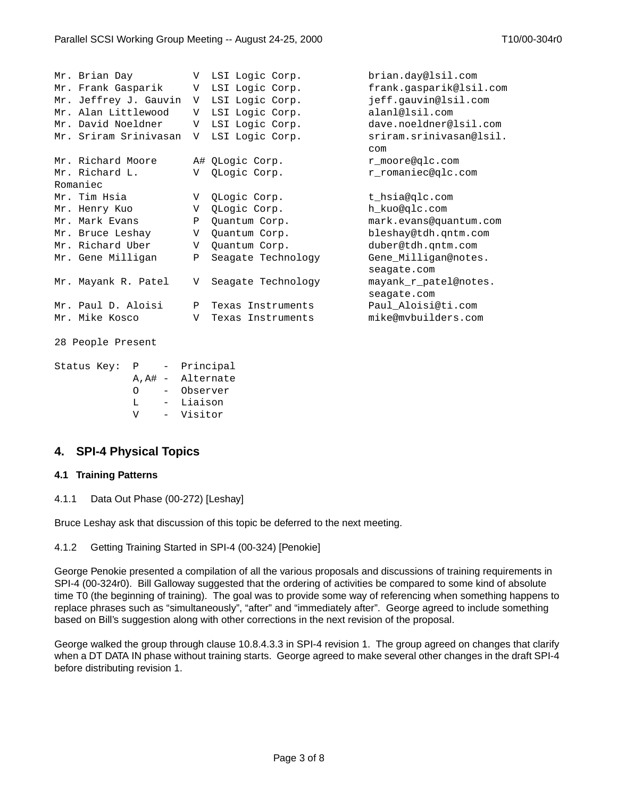|          | Mr. Brian Day         | V            | LSI Logic Corp.    | brian.day@lsil.com             |  |  |  |  |
|----------|-----------------------|--------------|--------------------|--------------------------------|--|--|--|--|
|          | Mr. Frank Gasparik    | V            | LSI Logic Corp.    | frank.gasparik@lsil.com        |  |  |  |  |
|          | Mr. Jeffrey J. Gauvin | V            | LSI Logic Corp.    | jeff.gauvin@lsil.com           |  |  |  |  |
|          | Mr. Alan Littlewood   | V            | LSI Logic Corp.    | alanl@lsil.com                 |  |  |  |  |
|          | Mr. David Noeldner    | V            | LSI Logic Corp.    | dave.noeldner@lsil.com         |  |  |  |  |
|          | Mr. Sriram Srinivasan | V            | LSI Logic Corp.    | sriram.srinivasan@lsil.<br>com |  |  |  |  |
|          | Mr. Richard Moore     |              | A# QLogic Corp.    | r moore@qlc.com                |  |  |  |  |
|          | Mr. Richard L.        | V            | QLogic Corp.       | r_romaniec@qlc.com             |  |  |  |  |
| Romaniec |                       |              |                    |                                |  |  |  |  |
|          | Mr. Tim Hsia          | V            | QLogic Corp.       | t hsia@qlc.com                 |  |  |  |  |
|          | Mr. Henry Kuo         | V            | QLogic Corp.       | h kuo@qlc.com                  |  |  |  |  |
|          | Mr. Mark Evans        | Ρ            | Quantum Corp.      | mark.evans@quantum.com         |  |  |  |  |
|          | Mr. Bruce Leshay      | V            | Quantum Corp.      | bleshay@tdh.qntm.com           |  |  |  |  |
|          | Mr. Richard Uber      | V            | Quantum Corp.      | duber@tdh.qntm.com             |  |  |  |  |
|          | Mr. Gene Milligan     | $\mathbf{P}$ | Seagate Technology | Gene Milligan@notes.           |  |  |  |  |
|          |                       |              |                    | seagate.com                    |  |  |  |  |
|          | Mr. Mayank R. Patel   | V            | Seagate Technology | mayank_r_patel@notes.          |  |  |  |  |
|          |                       |              |                    | seagate.com                    |  |  |  |  |
|          | Mr. Paul D. Aloisi    | Ρ            | Texas Instruments  | Paul Aloisi@ti.com             |  |  |  |  |
|          | Mr. Mike Kosco        | V            | Texas Instruments  | mike@mvbuilders.com            |  |  |  |  |
|          |                       |              |                    |                                |  |  |  |  |

```
28 People Present
```

```
Status Key: P - Principal
A,A# - Alternate
O - Observer
L - Liaison
V - Visitor
```
# **4. SPI-4 Physical Topics**

### **4.1 Training Patterns**

4.1.1 Data Out Phase (00-272) [Leshay]

Bruce Leshay ask that discussion of this topic be deferred to the next meeting.

```
4.1.2 Getting Training Started in SPI-4 (00-324) [Penokie]
```
George Penokie presented a compilation of all the various proposals and discussions of training requirements in SPI-4 (00-324r0). Bill Galloway suggested that the ordering of activities be compared to some kind of absolute time T0 (the beginning of training). The goal was to provide some way of referencing when something happens to replace phrases such as "simultaneously", "after" and "immediately after". George agreed to include something based on Bill's suggestion along with other corrections in the next revision of the proposal.

George walked the group through clause 10.8.4.3.3 in SPI-4 revision 1. The group agreed on changes that clarify when a DT DATA IN phase without training starts. George agreed to make several other changes in the draft SPI-4 before distributing revision 1.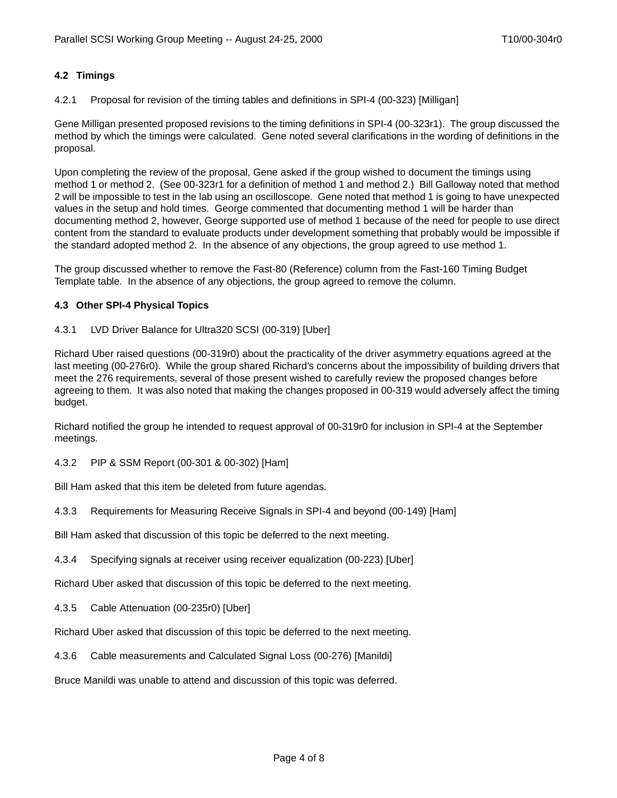### **4.2 Timings**

4.2.1 Proposal for revision of the timing tables and definitions in SPI-4 (00-323) [Milligan]

Gene Milligan presented proposed revisions to the timing definitions in SPI-4 (00-323r1). The group discussed the method by which the timings were calculated. Gene noted several clarifications in the wording of definitions in the proposal.

Upon completing the review of the proposal, Gene asked if the group wished to document the timings using method 1 or method 2. (See 00-323r1 for a definition of method 1 and method 2.) Bill Galloway noted that method 2 will be impossible to test in the lab using an oscilloscope. Gene noted that method 1 is going to have unexpected values in the setup and hold times. George commented that documenting method 1 will be harder than documenting method 2, however, George supported use of method 1 because of the need for people to use direct content from the standard to evaluate products under development something that probably would be impossible if the standard adopted method 2. In the absence of any objections, the group agreed to use method 1.

The group discussed whether to remove the Fast-80 (Reference) column from the Fast-160 Timing Budget Template table. In the absence of any objections, the group agreed to remove the column.

#### **4.3 Other SPI-4 Physical Topics**

#### 4.3.1 LVD Driver Balance for Ultra320 SCSI (00-319) [Uber]

Richard Uber raised questions (00-319r0) about the practicality of the driver asymmetry equations agreed at the last meeting (00-276r0). While the group shared Richard's concerns about the impossibility of building drivers that meet the 276 requirements, several of those present wished to carefully review the proposed changes before agreeing to them. It was also noted that making the changes proposed in 00-319 would adversely affect the timing budget.

Richard notified the group he intended to request approval of 00-319r0 for inclusion in SPI-4 at the September meetings.

4.3.2 PIP & SSM Report (00-301 & 00-302) [Ham]

Bill Ham asked that this item be deleted from future agendas.

4.3.3 Requirements for Measuring Receive Signals in SPI-4 and beyond (00-149) [Ham]

Bill Ham asked that discussion of this topic be deferred to the next meeting.

4.3.4 Specifying signals at receiver using receiver equalization (00-223) [Uber]

Richard Uber asked that discussion of this topic be deferred to the next meeting.

4.3.5 Cable Attenuation (00-235r0) [Uber]

Richard Uber asked that discussion of this topic be deferred to the next meeting.

4.3.6 Cable measurements and Calculated Signal Loss (00-276) [Manildi]

Bruce Manildi was unable to attend and discussion of this topic was deferred.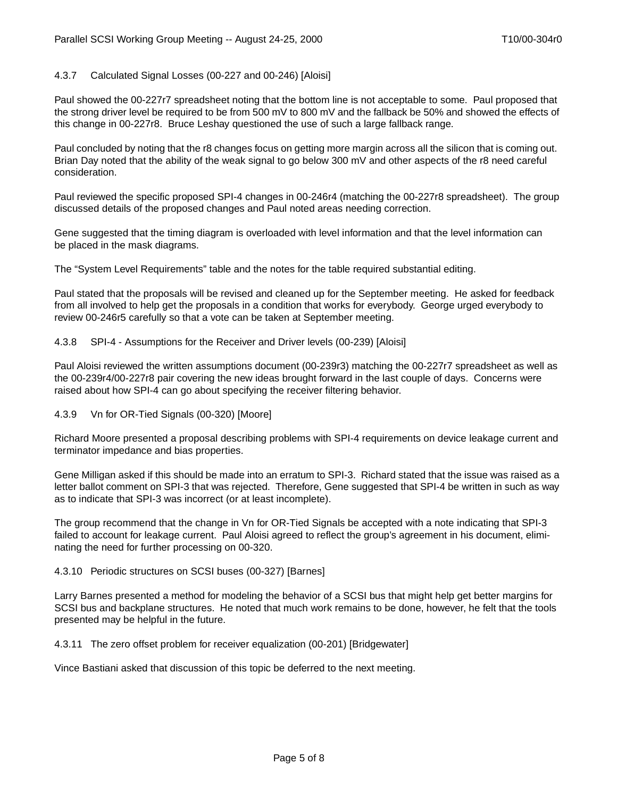#### 4.3.7 Calculated Signal Losses (00-227 and 00-246) [Aloisi]

Paul showed the 00-227r7 spreadsheet noting that the bottom line is not acceptable to some. Paul proposed that the strong driver level be required to be from 500 mV to 800 mV and the fallback be 50% and showed the effects of this change in 00-227r8. Bruce Leshay questioned the use of such a large fallback range.

Paul concluded by noting that the r8 changes focus on getting more margin across all the silicon that is coming out. Brian Day noted that the ability of the weak signal to go below 300 mV and other aspects of the r8 need careful consideration.

Paul reviewed the specific proposed SPI-4 changes in 00-246r4 (matching the 00-227r8 spreadsheet). The group discussed details of the proposed changes and Paul noted areas needing correction.

Gene suggested that the timing diagram is overloaded with level information and that the level information can be placed in the mask diagrams.

The "System Level Requirements" table and the notes for the table required substantial editing.

Paul stated that the proposals will be revised and cleaned up for the September meeting. He asked for feedback from all involved to help get the proposals in a condition that works for everybody. George urged everybody to review 00-246r5 carefully so that a vote can be taken at September meeting.

4.3.8 SPI-4 - Assumptions for the Receiver and Driver levels (00-239) [Aloisi]

Paul Aloisi reviewed the written assumptions document (00-239r3) matching the 00-227r7 spreadsheet as well as the 00-239r4/00-227r8 pair covering the new ideas brought forward in the last couple of days. Concerns were raised about how SPI-4 can go about specifying the receiver filtering behavior.

4.3.9 Vn for OR-Tied Signals (00-320) [Moore]

Richard Moore presented a proposal describing problems with SPI-4 requirements on device leakage current and terminator impedance and bias properties.

Gene Milligan asked if this should be made into an erratum to SPI-3. Richard stated that the issue was raised as a letter ballot comment on SPI-3 that was rejected. Therefore, Gene suggested that SPI-4 be written in such as way as to indicate that SPI-3 was incorrect (or at least incomplete).

The group recommend that the change in Vn for OR-Tied Signals be accepted with a note indicating that SPI-3 failed to account for leakage current. Paul Aloisi agreed to reflect the group's agreement in his document, eliminating the need for further processing on 00-320.

#### 4.3.10 Periodic structures on SCSI buses (00-327) [Barnes]

Larry Barnes presented a method for modeling the behavior of a SCSI bus that might help get better margins for SCSI bus and backplane structures. He noted that much work remains to be done, however, he felt that the tools presented may be helpful in the future.

4.3.11 The zero offset problem for receiver equalization (00-201) [Bridgewater]

Vince Bastiani asked that discussion of this topic be deferred to the next meeting.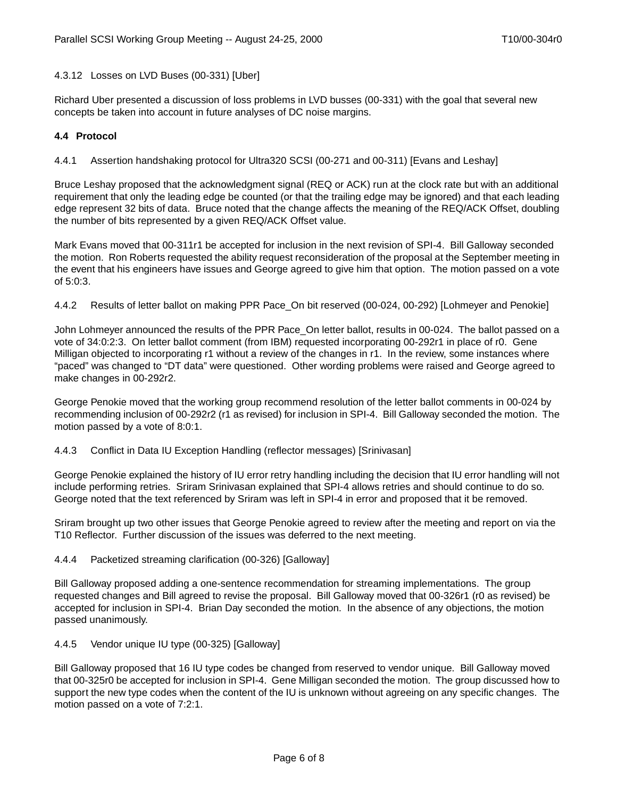#### 4.3.12 Losses on LVD Buses (00-331) [Uber]

Richard Uber presented a discussion of loss problems in LVD busses (00-331) with the goal that several new concepts be taken into account in future analyses of DC noise margins.

#### **4.4 Protocol**

<span id="page-5-0"></span>4.4.1 Assertion handshaking protocol for Ultra320 SCSI (00-271 and 00-311) [Evans and Leshay]

Bruce Leshay proposed that the acknowledgment signal (REQ or ACK) run at the clock rate but with an additional requirement that only the leading edge be counted (or that the trailing edge may be ignored) and that each leading edge represent 32 bits of data. Bruce noted that the change affects the meaning of the REQ/ACK Offset, doubling the number of bits represented by a given REQ/ACK Offset value.

Mark Evans moved that 00-311r1 be accepted for inclusion in the next revision of SPI-4. Bill Galloway seconded the motion. Ron Roberts requested the ability request reconsideration of the proposal at the September meeting in the event that his engineers have issues and George agreed to give him that option. The motion passed on a vote of 5:0:3.

4.4.2 Results of letter ballot on making PPR Pace\_On bit reserved (00-024, 00-292) [Lohmeyer and Penokie]

John Lohmeyer announced the results of the PPR Pace\_On letter ballot, results in 00-024. The ballot passed on a vote of 34:0:2:3. On letter ballot comment (from IBM) requested incorporating 00-292r1 in place of r0. Gene Milligan objected to incorporating r1 without a review of the changes in r1. In the review, some instances where "paced" was changed to "DT data" were questioned. Other wording problems were raised and George agreed to make changes in 00-292r2.

George Penokie moved that the working group recommend resolution of the letter ballot comments in 00-024 by recommending inclusion of 00-292r2 (r1 as revised) for inclusion in SPI-4. Bill Galloway seconded the motion. The motion passed by a vote of 8:0:1.

#### 4.4.3 Conflict in Data IU Exception Handling (reflector messages) [Srinivasan]

George Penokie explained the history of IU error retry handling including the decision that IU error handling will not include performing retries. Sriram Srinivasan explained that SPI-4 allows retries and should continue to do so. George noted that the text referenced by Sriram was left in SPI-4 in error and proposed that it be removed.

Sriram brought up two other issues that George Penokie agreed to review after the meeting and report on via the T10 Reflector. Further discussion of the issues was deferred to the next meeting.

#### 4.4.4 Packetized streaming clarification (00-326) [Galloway]

Bill Galloway proposed adding a one-sentence recommendation for streaming implementations. The group requested changes and Bill agreed to revise the proposal. Bill Galloway moved that 00-326r1 (r0 as revised) be accepted for inclusion in SPI-4. Brian Day seconded the motion. In the absence of any objections, the motion passed unanimously.

#### 4.4.5 Vendor unique IU type (00-325) [Galloway]

Bill Galloway proposed that 16 IU type codes be changed from reserved to vendor unique. Bill Galloway moved that 00-325r0 be accepted for inclusion in SPI-4. Gene Milligan seconded the motion. The group discussed how to support the new type codes when the content of the IU is unknown without agreeing on any specific changes. The motion passed on a vote of 7:2:1.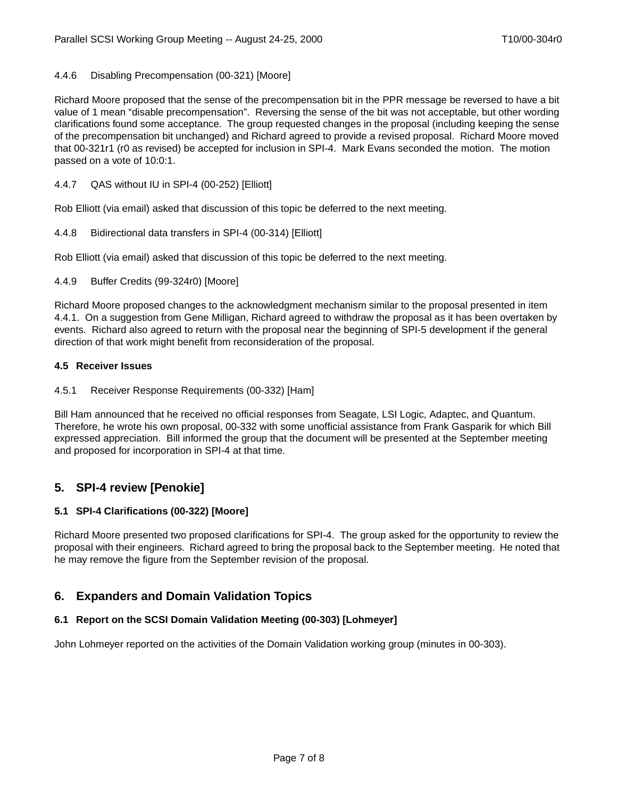### 4.4.6 Disabling Precompensation (00-321) [Moore]

Richard Moore proposed that the sense of the precompensation bit in the PPR message be reversed to have a bit value of 1 mean "disable precompensation". Reversing the sense of the bit was not acceptable, but other wording clarifications found some acceptance. The group requested changes in the proposal (including keeping the sense of the precompensation bit unchanged) and Richard agreed to provide a revised proposal. Richard Moore moved that 00-321r1 (r0 as revised) be accepted for inclusion in SPI-4. Mark Evans seconded the motion. The motion passed on a vote of 10:0:1.

4.4.7 QAS without IU in SPI-4 (00-252) [Elliott]

Rob Elliott (via email) asked that discussion of this topic be deferred to the next meeting.

4.4.8 Bidirectional data transfers in SPI-4 (00-314) [Elliott]

Rob Elliott (via email) asked that discussion of this topic be deferred to the next meeting.

4.4.9 Buffer Credits (99-324r0) [Moore]

Richard Moore proposed changes to the acknowledgment mechanism similar to the proposal presented in item [4.4.1](#page-5-0). On a suggestion from Gene Milligan, Richard agreed to withdraw the proposal as it has been overtaken by events. Richard also agreed to return with the proposal near the beginning of SPI-5 development if the general direction of that work might benefit from reconsideration of the proposal.

#### **4.5 Receiver Issues**

4.5.1 Receiver Response Requirements (00-332) [Ham]

Bill Ham announced that he received no official responses from Seagate, LSI Logic, Adaptec, and Quantum. Therefore, he wrote his own proposal, 00-332 with some unofficial assistance from Frank Gasparik for which Bill expressed appreciation. Bill informed the group that the document will be presented at the September meeting and proposed for incorporation in SPI-4 at that time.

# **5. SPI-4 review [Penokie]**

### **5.1 SPI-4 Clarifications (00-322) [Moore]**

Richard Moore presented two proposed clarifications for SPI-4. The group asked for the opportunity to review the proposal with their engineers. Richard agreed to bring the proposal back to the September meeting. He noted that he may remove the figure from the September revision of the proposal.

### **6. Expanders and Domain Validation Topics**

### **6.1 Report on the SCSI Domain Validation Meeting (00-303) [Lohmeyer]**

John Lohmeyer reported on the activities of the Domain Validation working group (minutes in 00-303).